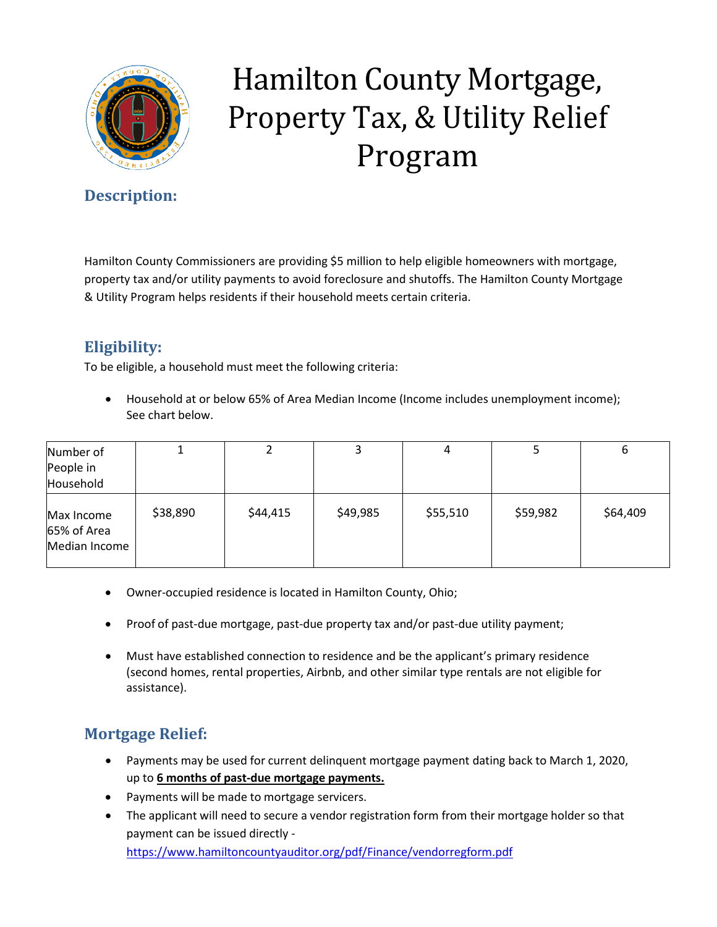

# Hamilton County Mortgage, Property Tax, & Utility Relief Program

## **Description:**

Hamilton County Commissioners are providing \$5 million to help eligible homeowners with mortgage, property tax and/or utility payments to avoid foreclosure and shutoffs. The Hamilton County Mortgage & Utility Program helps residents if their household meets certain criteria.

### **Eligibility:**

To be eligible, a household must meet the following criteria:

• Household at or below 65% of Area Median Income (Income includes unemployment income); See chart below.

| Number of<br>People in<br>Household        |          |          |          | 4        |          |          |
|--------------------------------------------|----------|----------|----------|----------|----------|----------|
| Max Income<br>65% of Area<br>Median Income | \$38,890 | \$44,415 | \$49,985 | \$55,510 | \$59,982 | \$64,409 |

- Owner-occupied residence is located in Hamilton County, Ohio;
- Proof of past-due mortgage, past-due property tax and/or past-due utility payment;
- Must have established connection to residence and be the applicant's primary residence (second homes, rental properties, Airbnb, and other similar type rentals are not eligible for assistance).

# **Mortgage Relief:**

- Payments may be used for current delinquent mortgage payment dating back to March 1, 2020, up to **6 months of past-due mortgage payments.**
- Payments will be made to mortgage servicers.
- The applicant will need to secure a vendor registration form from their mortgage holder so that payment can be issued directly <https://www.hamiltoncountyauditor.org/pdf/Finance/vendorregform.pdf>